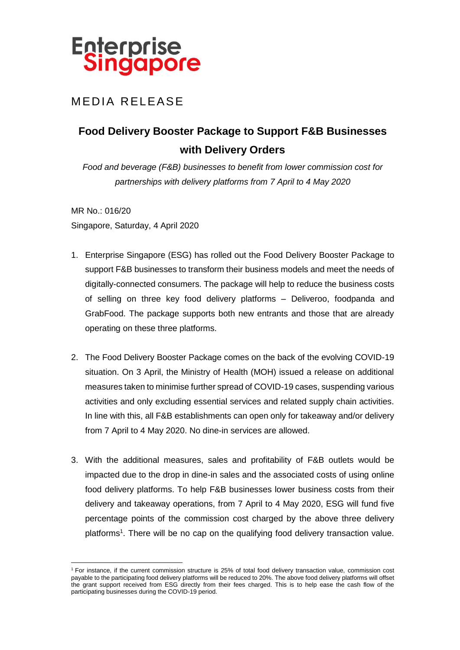

## MEDIA RELEASE

# **Food Delivery Booster Package to Support F&B Businesses with Delivery Orders**

*Food and beverage (F&B) businesses to benefit from lower commission cost for partnerships with delivery platforms from 7 April to 4 May 2020*

MR No.: 016/20 Singapore, Saturday, 4 April 2020

 $\overline{a}$ 

- 1. Enterprise Singapore (ESG) has rolled out the Food Delivery Booster Package to support F&B businesses to transform their business models and meet the needs of digitally-connected consumers. The package will help to reduce the business costs of selling on three key food delivery platforms – Deliveroo, foodpanda and GrabFood. The package supports both new entrants and those that are already operating on these three platforms.
- 2. The Food Delivery Booster Package comes on the back of the evolving COVID-19 situation. On 3 April, the Ministry of Health (MOH) issued a release on additional measures taken to minimise further spread of COVID-19 cases, suspending various activities and only excluding essential services and related supply chain activities. In line with this, all F&B establishments can open only for takeaway and/or delivery from 7 April to 4 May 2020. No dine-in services are allowed.
- 3. With the additional measures, sales and profitability of F&B outlets would be impacted due to the drop in dine-in sales and the associated costs of using online food delivery platforms. To help F&B businesses lower business costs from their delivery and takeaway operations, from 7 April to 4 May 2020, ESG will fund five percentage points of the commission cost charged by the above three delivery platforms<sup>1</sup>. There will be no cap on the qualifying food delivery transaction value.

<sup>1</sup> For instance, if the current commission structure is 25% of total food delivery transaction value, commission cost payable to the participating food delivery platforms will be reduced to 20%. The above food delivery platforms will offset the grant support received from ESG directly from their fees charged. This is to help ease the cash flow of the participating businesses during the COVID-19 period.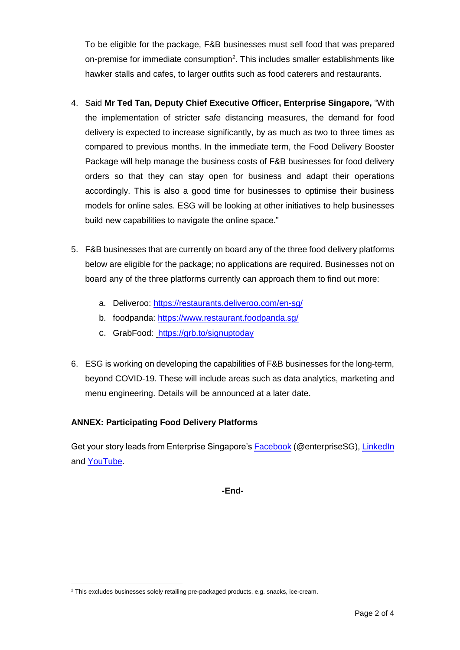To be eligible for the package, F&B businesses must sell food that was prepared on-premise for immediate consumption<sup>2</sup>. This includes smaller establishments like hawker stalls and cafes, to larger outfits such as food caterers and restaurants.

- 4. Said **Mr Ted Tan, Deputy Chief Executive Officer, Enterprise Singapore,** "With the implementation of stricter safe distancing measures, the demand for food delivery is expected to increase significantly, by as much as two to three times as compared to previous months. In the immediate term, the Food Delivery Booster Package will help manage the business costs of F&B businesses for food delivery orders so that they can stay open for business and adapt their operations accordingly. This is also a good time for businesses to optimise their business models for online sales. ESG will be looking at other initiatives to help businesses build new capabilities to navigate the online space."
- 5. F&B businesses that are currently on board any of the three food delivery platforms below are eligible for the package; no applications are required. Businesses not on board any of the three platforms currently can approach them to find out more:
	- a. Deliveroo: <https://restaurants.deliveroo.com/en-sg/>
	- b. foodpanda:<https://www.restaurant.foodpanda.sg/>
	- c. GrabFood: <https://grb.to/signuptoday>
- 6. ESG is working on developing the capabilities of F&B businesses for the long-term, beyond COVID-19. These will include areas such as data analytics, marketing and menu engineering. Details will be announced at a later date.

### **ANNEX: Participating Food Delivery Platforms**

Get your story leads from Enterprise Singapore's **Facebook** (@enterpriseSG), [LinkedIn](https://www.linkedin.com/company/enterprisesg) and [YouTube.](https://www.youtube.com/enterprisesingapore)

**-End-**

 $\overline{a}$ <sup>2</sup> This excludes businesses solely retailing pre-packaged products, e.g. snacks, ice-cream.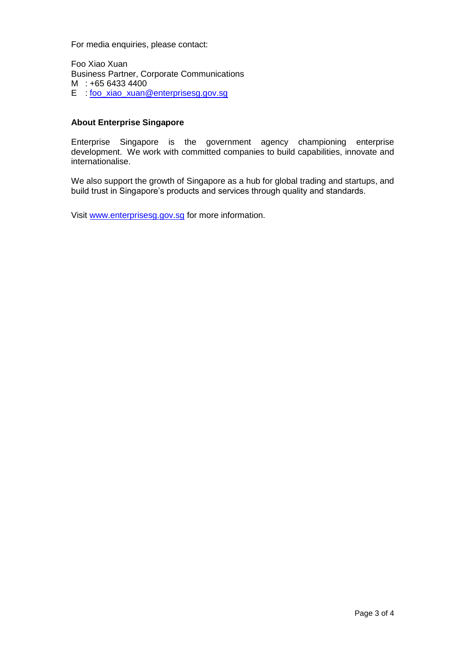For media enquiries, please contact:

Foo Xiao Xuan Business Partner, Corporate Communications M : +65 6433 4400 E : [foo\\_xiao\\_xuan@enterprisesg.gov.sg](mailto:foo_xiao_xuan@enterprisesg.gov.sg)

#### **About Enterprise Singapore**

Enterprise Singapore is the government agency championing enterprise development. We work with committed companies to build capabilities, innovate and internationalise.

We also support the growth of Singapore as a hub for global trading and startups, and build trust in Singapore's products and services through quality and standards.

Visit [www.enterprisesg.gov.sg](http://www.enterprisesg.gov.sg/) for more information.